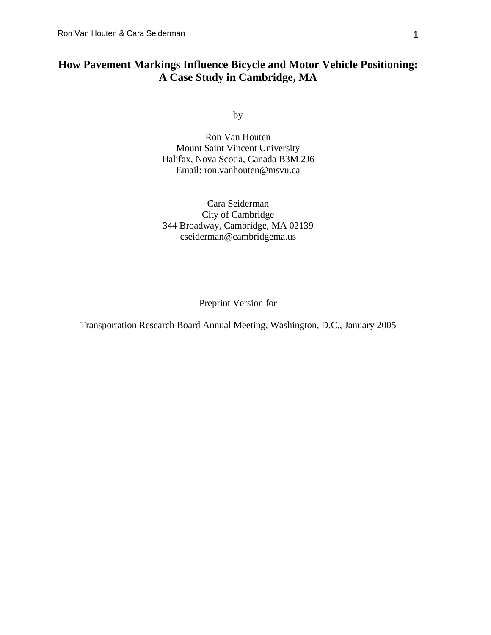# **How Pavement Markings Influence Bicycle and Motor Vehicle Positioning: A Case Study in Cambridge, MA**

by

Ron Van Houten Mount Saint Vincent University Halifax, Nova Scotia, Canada B3M 2J6 Email: ron.vanhouten@msvu.ca

Cara Seiderman City of Cambridge 344 Broadway, Cambridge, MA 02139 cseiderman@cambridgema.us

Preprint Version for

Transportation Research Board Annual Meeting, Washington, D.C., January 2005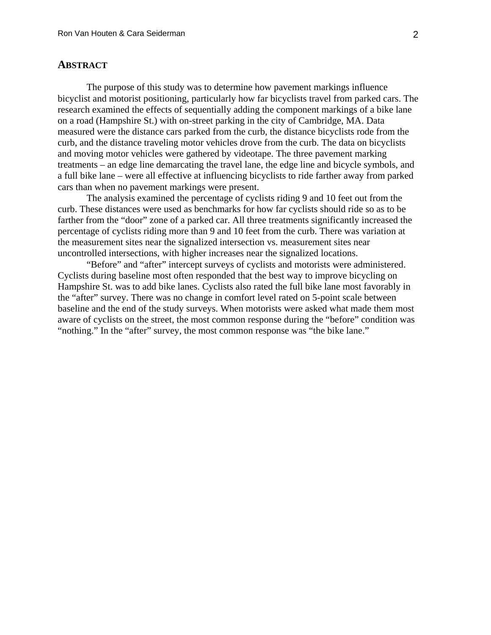# **ABSTRACT**

The purpose of this study was to determine how pavement markings influence bicyclist and motorist positioning, particularly how far bicyclists travel from parked cars. The research examined the effects of sequentially adding the component markings of a bike lane on a road (Hampshire St.) with on-street parking in the city of Cambridge, MA. Data measured were the distance cars parked from the curb, the distance bicyclists rode from the curb, and the distance traveling motor vehicles drove from the curb. The data on bicyclists and moving motor vehicles were gathered by videotape. The three pavement marking treatments – an edge line demarcating the travel lane, the edge line and bicycle symbols, and a full bike lane – were all effective at influencing bicyclists to ride farther away from parked cars than when no pavement markings were present.

The analysis examined the percentage of cyclists riding 9 and 10 feet out from the curb. These distances were used as benchmarks for how far cyclists should ride so as to be farther from the "door" zone of a parked car. All three treatments significantly increased the percentage of cyclists riding more than 9 and 10 feet from the curb. There was variation at the measurement sites near the signalized intersection vs. measurement sites near uncontrolled intersections, with higher increases near the signalized locations.

"Before" and "after" intercept surveys of cyclists and motorists were administered. Cyclists during baseline most often responded that the best way to improve bicycling on Hampshire St. was to add bike lanes. Cyclists also rated the full bike lane most favorably in the "after" survey. There was no change in comfort level rated on 5-point scale between baseline and the end of the study surveys. When motorists were asked what made them most aware of cyclists on the street, the most common response during the "before" condition was "nothing." In the "after" survey, the most common response was "the bike lane."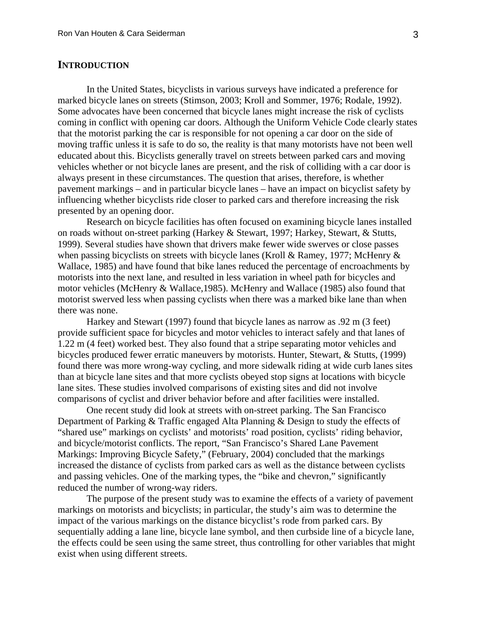# **INTRODUCTION**

In the United States, bicyclists in various surveys have indicated a preference for marked bicycle lanes on streets (Stimson, 2003; Kroll and Sommer, 1976; Rodale, 1992). Some advocates have been concerned that bicycle lanes might increase the risk of cyclists coming in conflict with opening car doors. Although the Uniform Vehicle Code clearly states that the motorist parking the car is responsible for not opening a car door on the side of moving traffic unless it is safe to do so, the reality is that many motorists have not been well educated about this. Bicyclists generally travel on streets between parked cars and moving vehicles whether or not bicycle lanes are present, and the risk of colliding with a car door is always present in these circumstances. The question that arises, therefore, is whether pavement markings – and in particular bicycle lanes – have an impact on bicyclist safety by influencing whether bicyclists ride closer to parked cars and therefore increasing the risk presented by an opening door.

Research on bicycle facilities has often focused on examining bicycle lanes installed on roads without on-street parking (Harkey & Stewart, 1997; Harkey, Stewart, & Stutts, 1999). Several studies have shown that drivers make fewer wide swerves or close passes when passing bicyclists on streets with bicycle lanes (Kroll & Ramey, 1977; McHenry  $\&$ Wallace, 1985) and have found that bike lanes reduced the percentage of encroachments by motorists into the next lane, and resulted in less variation in wheel path for bicycles and motor vehicles (McHenry & Wallace,1985). McHenry and Wallace (1985) also found that motorist swerved less when passing cyclists when there was a marked bike lane than when there was none.

Harkey and Stewart (1997) found that bicycle lanes as narrow as .92 m (3 feet) provide sufficient space for bicycles and motor vehicles to interact safely and that lanes of 1.22 m (4 feet) worked best. They also found that a stripe separating motor vehicles and bicycles produced fewer erratic maneuvers by motorists. Hunter, Stewart, & Stutts, (1999) found there was more wrong-way cycling, and more sidewalk riding at wide curb lanes sites than at bicycle lane sites and that more cyclists obeyed stop signs at locations with bicycle lane sites. These studies involved comparisons of existing sites and did not involve comparisons of cyclist and driver behavior before and after facilities were installed.

One recent study did look at streets with on-street parking. The San Francisco Department of Parking & Traffic engaged Alta Planning & Design to study the effects of "shared use" markings on cyclists' and motorists' road position, cyclists' riding behavior, and bicycle/motorist conflicts. The report, "San Francisco's Shared Lane Pavement Markings: Improving Bicycle Safety," (February, 2004) concluded that the markings increased the distance of cyclists from parked cars as well as the distance between cyclists and passing vehicles. One of the marking types, the "bike and chevron," significantly reduced the number of wrong-way riders.

The purpose of the present study was to examine the effects of a variety of pavement markings on motorists and bicyclists; in particular, the study's aim was to determine the impact of the various markings on the distance bicyclist's rode from parked cars. By sequentially adding a lane line, bicycle lane symbol, and then curbside line of a bicycle lane, the effects could be seen using the same street, thus controlling for other variables that might exist when using different streets.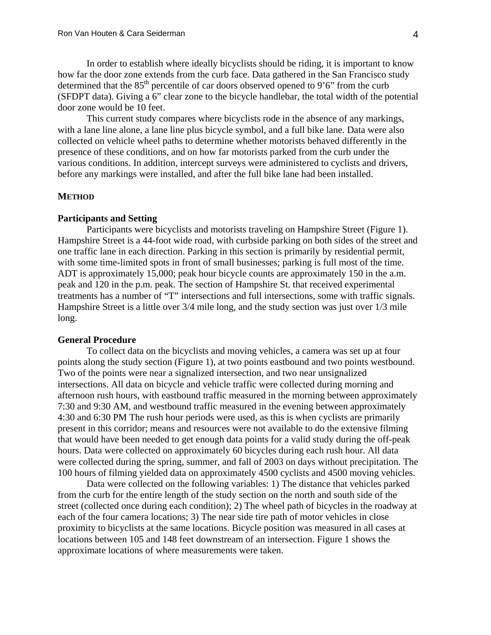In order to establish where ideally bicyclists should be riding, it is important to know how far the door zone extends from the curb face. Data gathered in the San Francisco study determined that the  $85<sup>th</sup>$  percentile of car doors observed opened to 9'6" from the curb (SFDPT data). Giving a 6" clear zone to the bicycle handlebar, the total width of the potential door zone would be 10 feet.

This current study compares where bicyclists rode in the absence of any markings, with a lane line alone, a lane line plus bicycle symbol, and a full bike lane. Data were also collected on vehicle wheel paths to determine whether motorists behaved differently in the presence of these conditions, and on how far motorists parked from the curb under the various conditions. In addition, intercept surveys were administered to cyclists and drivers, before any markings were installed, and after the full bike lane had been installed.

#### **METHOD**

### **Participants and Setting**

Participants were bicyclists and motorists traveling on Hampshire Street (Figure 1). Hampshire Street is a 44-foot wide road, with curbside parking on both sides of the street and one traffic lane in each direction. Parking in this section is primarily by residential permit, with some time-limited spots in front of small businesses; parking is full most of the time. ADT is approximately 15,000; peak hour bicycle counts are approximately 150 in the a.m. peak and 120 in the p.m. peak. The section of Hampshire St. that received experimental treatments has a number of "T" intersections and full intersections, some with traffic signals. Hampshire Street is a little over 3/4 mile long, and the study section was just over 1/3 mile long.

#### **General Procedure**

To collect data on the bicyclists and moving vehicles, a camera was set up at four points along the study section (Figure 1), at two points eastbound and two points westbound. Two of the points were near a signalized intersection, and two near unsignalized intersections. All data on bicycle and vehicle traffic were collected during morning and afternoon rush hours, with eastbound traffic measured in the morning between approximately 7:30 and 9:30 AM, and westbound traffic measured in the evening between approximately 4:30 and 6:30 PM The rush hour periods were used, as this is when cyclists are primarily present in this corridor; means and resources were not available to do the extensive filming that would have been needed to get enough data points for a valid study during the off-peak hours. Data were collected on approximately 60 bicycles during each rush hour. All data were collected during the spring, summer, and fall of 2003 on days without precipitation. The 100 hours of filming yielded data on approximately 4500 cyclists and 4500 moving vehicles.

Data were collected on the following variables: 1) The distance that vehicles parked from the curb for the entire length of the study section on the north and south side of the street (collected once during each condition); 2) The wheel path of bicycles in the roadway at each of the four camera locations; 3) The near side tire path of motor vehicles in close proximity to bicyclists at the same locations. Bicycle position was measured in all cases at locations between 105 and 148 feet downstream of an intersection. Figure 1 shows the approximate locations of where measurements were taken.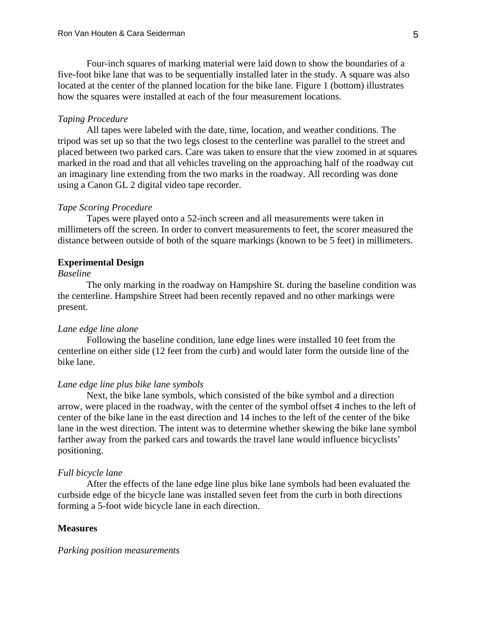Four-inch squares of marking material were laid down to show the boundaries of a five-foot bike lane that was to be sequentially installed later in the study. A square was also located at the center of the planned location for the bike lane. Figure 1 (bottom) illustrates how the squares were installed at each of the four measurement locations.

# *Taping Procedure*

All tapes were labeled with the date, time, location, and weather conditions. The tripod was set up so that the two legs closest to the centerline was parallel to the street and placed between two parked cars. Care was taken to ensure that the view zoomed in at squares marked in the road and that all vehicles traveling on the approaching half of the roadway cut an imaginary line extending from the two marks in the roadway. All recording was done using a Canon GL 2 digital video tape recorder.

### *Tape Scoring Procedure*

Tapes were played onto a 52-inch screen and all measurements were taken in millimeters off the screen. In order to convert measurements to feet, the scorer measured the distance between outside of both of the square markings (known to be 5 feet) in millimeters.

#### **Experimental Design**

# *Baseline*

The only marking in the roadway on Hampshire St. during the baseline condition was the centerline. Hampshire Street had been recently repaved and no other markings were present.

#### *Lane edge line alone*

Following the baseline condition, lane edge lines were installed 10 feet from the centerline on either side (12 feet from the curb) and would later form the outside line of the bike lane.

# *Lane edge line plus bike lane symbols*

Next, the bike lane symbols, which consisted of the bike symbol and a direction arrow, were placed in the roadway, with the center of the symbol offset 4 inches to the left of center of the bike lane in the east direction and 14 inches to the left of the center of the bike lane in the west direction. The intent was to determine whether skewing the bike lane symbol farther away from the parked cars and towards the travel lane would influence bicyclists' positioning.

### *Full bicycle lane*

After the effects of the lane edge line plus bike lane symbols had been evaluated the curbside edge of the bicycle lane was installed seven feet from the curb in both directions forming a 5-foot wide bicycle lane in each direction.

# **Measures**

#### *Parking position measurements*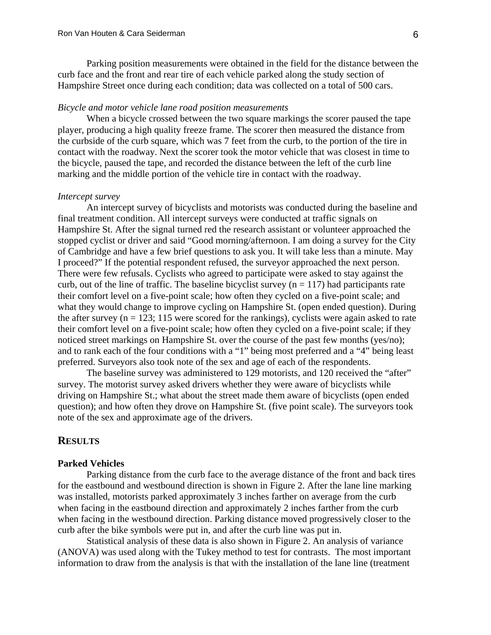Parking position measurements were obtained in the field for the distance between the curb face and the front and rear tire of each vehicle parked along the study section of Hampshire Street once during each condition; data was collected on a total of 500 cars.

### *Bicycle and motor vehicle lane road position measurements*

When a bicycle crossed between the two square markings the scorer paused the tape player, producing a high quality freeze frame. The scorer then measured the distance from the curbside of the curb square, which was 7 feet from the curb, to the portion of the tire in contact with the roadway. Next the scorer took the motor vehicle that was closest in time to the bicycle, paused the tape, and recorded the distance between the left of the curb line marking and the middle portion of the vehicle tire in contact with the roadway.

### *Intercept survey*

An intercept survey of bicyclists and motorists was conducted during the baseline and final treatment condition. All intercept surveys were conducted at traffic signals on Hampshire St. After the signal turned red the research assistant or volunteer approached the stopped cyclist or driver and said "Good morning/afternoon. I am doing a survey for the City of Cambridge and have a few brief questions to ask you. It will take less than a minute. May I proceed?" If the potential respondent refused, the surveyor approached the next person. There were few refusals. Cyclists who agreed to participate were asked to stay against the curb, out of the line of traffic. The baseline bicyclist survey  $(n = 117)$  had participants rate their comfort level on a five-point scale; how often they cycled on a five-point scale; and what they would change to improve cycling on Hampshire St. (open ended question). During the after survey ( $n = 123$ ; 115 were scored for the rankings), cyclists were again asked to rate their comfort level on a five-point scale; how often they cycled on a five-point scale; if they noticed street markings on Hampshire St. over the course of the past few months (yes/no); and to rank each of the four conditions with a "1" being most preferred and a "4" being least preferred. Surveyors also took note of the sex and age of each of the respondents.

The baseline survey was administered to 129 motorists, and 120 received the "after" survey. The motorist survey asked drivers whether they were aware of bicyclists while driving on Hampshire St.; what about the street made them aware of bicyclists (open ended question); and how often they drove on Hampshire St. (five point scale). The surveyors took note of the sex and approximate age of the drivers.

# **RESULTS**

# **Parked Vehicles**

Parking distance from the curb face to the average distance of the front and back tires for the eastbound and westbound direction is shown in Figure 2. After the lane line marking was installed, motorists parked approximately 3 inches farther on average from the curb when facing in the eastbound direction and approximately 2 inches farther from the curb when facing in the westbound direction. Parking distance moved progressively closer to the curb after the bike symbols were put in, and after the curb line was put in.

Statistical analysis of these data is also shown in Figure 2. An analysis of variance (ANOVA) was used along with the Tukey method to test for contrasts. The most important information to draw from the analysis is that with the installation of the lane line (treatment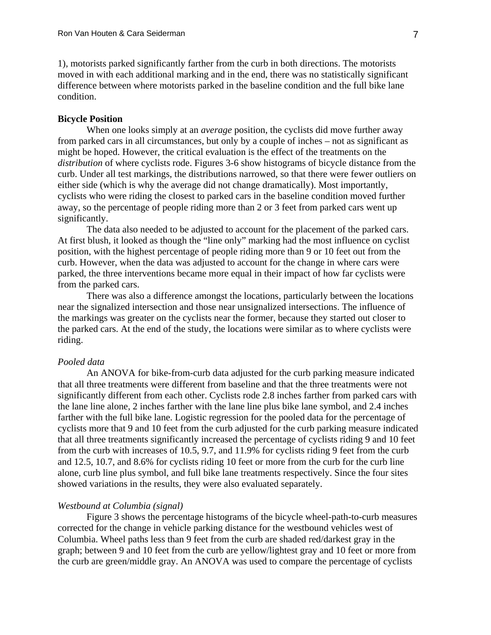1), motorists parked significantly farther from the curb in both directions. The motorists moved in with each additional marking and in the end, there was no statistically significant difference between where motorists parked in the baseline condition and the full bike lane condition.

# **Bicycle Position**

When one looks simply at an *average* position, the cyclists did move further away from parked cars in all circumstances, but only by a couple of inches – not as significant as might be hoped. However, the critical evaluation is the effect of the treatments on the *distribution* of where cyclists rode. Figures 3-6 show histograms of bicycle distance from the curb. Under all test markings, the distributions narrowed, so that there were fewer outliers on either side (which is why the average did not change dramatically). Most importantly, cyclists who were riding the closest to parked cars in the baseline condition moved further away, so the percentage of people riding more than 2 or 3 feet from parked cars went up significantly.

 The data also needed to be adjusted to account for the placement of the parked cars. At first blush, it looked as though the "line only" marking had the most influence on cyclist position, with the highest percentage of people riding more than 9 or 10 feet out from the curb. However, when the data was adjusted to account for the change in where cars were parked, the three interventions became more equal in their impact of how far cyclists were from the parked cars.

 There was also a difference amongst the locations, particularly between the locations near the signalized intersection and those near unsignalized intersections. The influence of the markings was greater on the cyclists near the former, because they started out closer to the parked cars. At the end of the study, the locations were similar as to where cyclists were riding.

# *Pooled data*

An ANOVA for bike-from-curb data adjusted for the curb parking measure indicated that all three treatments were different from baseline and that the three treatments were not significantly different from each other. Cyclists rode 2.8 inches farther from parked cars with the lane line alone, 2 inches farther with the lane line plus bike lane symbol, and 2.4 inches farther with the full bike lane. Logistic regression for the pooled data for the percentage of cyclists more that 9 and 10 feet from the curb adjusted for the curb parking measure indicated that all three treatments significantly increased the percentage of cyclists riding 9 and 10 feet from the curb with increases of 10.5, 9.7, and 11.9% for cyclists riding 9 feet from the curb and 12.5, 10.7, and 8.6% for cyclists riding 10 feet or more from the curb for the curb line alone, curb line plus symbol, and full bike lane treatments respectively. Since the four sites showed variations in the results, they were also evaluated separately.

#### *Westbound at Columbia (signal)*

Figure 3 shows the percentage histograms of the bicycle wheel-path-to-curb measures corrected for the change in vehicle parking distance for the westbound vehicles west of Columbia. Wheel paths less than 9 feet from the curb are shaded red/darkest gray in the graph; between 9 and 10 feet from the curb are yellow/lightest gray and 10 feet or more from the curb are green/middle gray. An ANOVA was used to compare the percentage of cyclists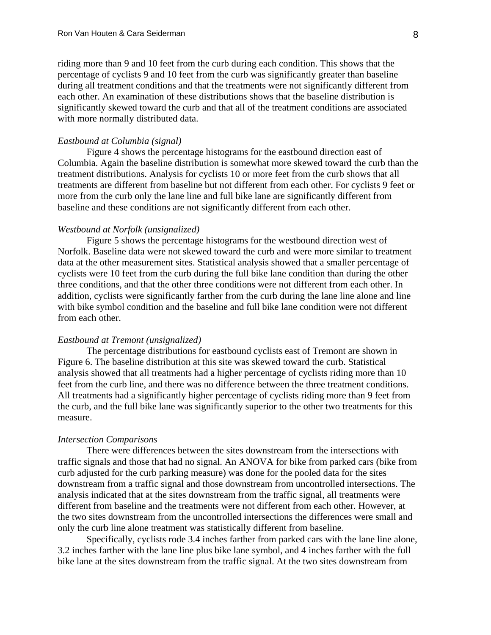riding more than 9 and 10 feet from the curb during each condition. This shows that the percentage of cyclists 9 and 10 feet from the curb was significantly greater than baseline during all treatment conditions and that the treatments were not significantly different from each other. An examination of these distributions shows that the baseline distribution is significantly skewed toward the curb and that all of the treatment conditions are associated with more normally distributed data.

### *Eastbound at Columbia (signal)*

Figure 4 shows the percentage histograms for the eastbound direction east of Columbia. Again the baseline distribution is somewhat more skewed toward the curb than the treatment distributions. Analysis for cyclists 10 or more feet from the curb shows that all treatments are different from baseline but not different from each other. For cyclists 9 feet or more from the curb only the lane line and full bike lane are significantly different from baseline and these conditions are not significantly different from each other.

#### *Westbound at Norfolk (unsignalized)*

Figure 5 shows the percentage histograms for the westbound direction west of Norfolk. Baseline data were not skewed toward the curb and were more similar to treatment data at the other measurement sites. Statistical analysis showed that a smaller percentage of cyclists were 10 feet from the curb during the full bike lane condition than during the other three conditions, and that the other three conditions were not different from each other. In addition, cyclists were significantly farther from the curb during the lane line alone and line with bike symbol condition and the baseline and full bike lane condition were not different from each other.

#### *Eastbound at Tremont (unsignalized)*

The percentage distributions for eastbound cyclists east of Tremont are shown in Figure 6. The baseline distribution at this site was skewed toward the curb. Statistical analysis showed that all treatments had a higher percentage of cyclists riding more than 10 feet from the curb line, and there was no difference between the three treatment conditions. All treatments had a significantly higher percentage of cyclists riding more than 9 feet from the curb, and the full bike lane was significantly superior to the other two treatments for this measure.

#### *Intersection Comparisons*

There were differences between the sites downstream from the intersections with traffic signals and those that had no signal. An ANOVA for bike from parked cars (bike from curb adjusted for the curb parking measure) was done for the pooled data for the sites downstream from a traffic signal and those downstream from uncontrolled intersections. The analysis indicated that at the sites downstream from the traffic signal, all treatments were different from baseline and the treatments were not different from each other. However, at the two sites downstream from the uncontrolled intersections the differences were small and only the curb line alone treatment was statistically different from baseline.

Specifically, cyclists rode 3.4 inches farther from parked cars with the lane line alone, 3.2 inches farther with the lane line plus bike lane symbol, and 4 inches farther with the full bike lane at the sites downstream from the traffic signal. At the two sites downstream from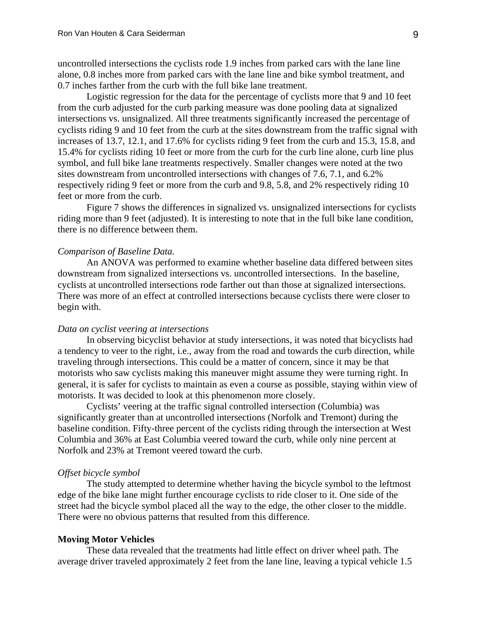uncontrolled intersections the cyclists rode 1.9 inches from parked cars with the lane line alone, 0.8 inches more from parked cars with the lane line and bike symbol treatment, and 0.7 inches farther from the curb with the full bike lane treatment.

Logistic regression for the data for the percentage of cyclists more that 9 and 10 feet from the curb adjusted for the curb parking measure was done pooling data at signalized intersections vs. unsignalized. All three treatments significantly increased the percentage of cyclists riding 9 and 10 feet from the curb at the sites downstream from the traffic signal with increases of 13.7, 12.1, and 17.6% for cyclists riding 9 feet from the curb and 15.3, 15.8, and 15.4% for cyclists riding 10 feet or more from the curb for the curb line alone, curb line plus symbol, and full bike lane treatments respectively. Smaller changes were noted at the two sites downstream from uncontrolled intersections with changes of 7.6, 7.1, and 6.2% respectively riding 9 feet or more from the curb and 9.8, 5.8, and 2% respectively riding 10 feet or more from the curb.

Figure 7 shows the differences in signalized vs. unsignalized intersections for cyclists riding more than 9 feet (adjusted). It is interesting to note that in the full bike lane condition, there is no difference between them.

# *Comparison of Baseline Data.*

An ANOVA was performed to examine whether baseline data differed between sites downstream from signalized intersections vs. uncontrolled intersections. In the baseline, cyclists at uncontrolled intersections rode farther out than those at signalized intersections. There was more of an effect at controlled intersections because cyclists there were closer to begin with.

# *Data on cyclist veering at intersections*

In observing bicyclist behavior at study intersections, it was noted that bicyclists had a tendency to veer to the right, i.e., away from the road and towards the curb direction, while traveling through intersections. This could be a matter of concern, since it may be that motorists who saw cyclists making this maneuver might assume they were turning right. In general, it is safer for cyclists to maintain as even a course as possible, staying within view of motorists. It was decided to look at this phenomenon more closely.

Cyclists' veering at the traffic signal controlled intersection (Columbia) was significantly greater than at uncontrolled intersections (Norfolk and Tremont) during the baseline condition. Fifty-three percent of the cyclists riding through the intersection at West Columbia and 36% at East Columbia veered toward the curb, while only nine percent at Norfolk and 23% at Tremont veered toward the curb.

# *Offset bicycle symbol*

The study attempted to determine whether having the bicycle symbol to the leftmost edge of the bike lane might further encourage cyclists to ride closer to it. One side of the street had the bicycle symbol placed all the way to the edge, the other closer to the middle. There were no obvious patterns that resulted from this difference.

### **Moving Motor Vehicles**

These data revealed that the treatments had little effect on driver wheel path. The average driver traveled approximately 2 feet from the lane line, leaving a typical vehicle 1.5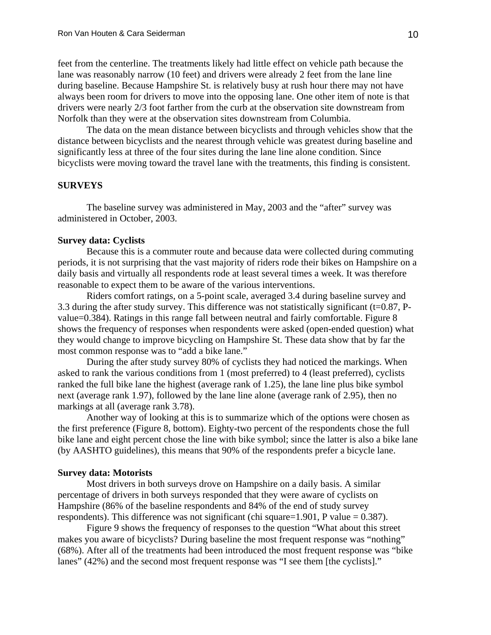feet from the centerline. The treatments likely had little effect on vehicle path because the lane was reasonably narrow (10 feet) and drivers were already 2 feet from the lane line during baseline. Because Hampshire St. is relatively busy at rush hour there may not have always been room for drivers to move into the opposing lane. One other item of note is that drivers were nearly 2/3 foot farther from the curb at the observation site downstream from Norfolk than they were at the observation sites downstream from Columbia.

The data on the mean distance between bicyclists and through vehicles show that the distance between bicyclists and the nearest through vehicle was greatest during baseline and significantly less at three of the four sites during the lane line alone condition. Since bicyclists were moving toward the travel lane with the treatments, this finding is consistent.

# **SURVEYS**

The baseline survey was administered in May, 2003 and the "after" survey was administered in October, 2003.

# **Survey data: Cyclists**

Because this is a commuter route and because data were collected during commuting periods, it is not surprising that the vast majority of riders rode their bikes on Hampshire on a daily basis and virtually all respondents rode at least several times a week. It was therefore reasonable to expect them to be aware of the various interventions.

 Riders comfort ratings, on a 5-point scale, averaged 3.4 during baseline survey and 3.3 during the after study survey. This difference was not statistically significant (t=0.87, Pvalue=0.384). Ratings in this range fall between neutral and fairly comfortable. Figure 8 shows the frequency of responses when respondents were asked (open-ended question) what they would change to improve bicycling on Hampshire St. These data show that by far the most common response was to "add a bike lane."

 During the after study survey 80% of cyclists they had noticed the markings. When asked to rank the various conditions from 1 (most preferred) to 4 (least preferred), cyclists ranked the full bike lane the highest (average rank of 1.25), the lane line plus bike symbol next (average rank 1.97), followed by the lane line alone (average rank of 2.95), then no markings at all (average rank 3.78).

Another way of looking at this is to summarize which of the options were chosen as the first preference (Figure 8, bottom). Eighty-two percent of the respondents chose the full bike lane and eight percent chose the line with bike symbol; since the latter is also a bike lane (by AASHTO guidelines), this means that 90% of the respondents prefer a bicycle lane.

# **Survey data: Motorists**

Most drivers in both surveys drove on Hampshire on a daily basis. A similar percentage of drivers in both surveys responded that they were aware of cyclists on Hampshire (86% of the baseline respondents and 84% of the end of study survey respondents). This difference was not significant (chi square=1.901, P value =  $0.387$ ).

Figure 9 shows the frequency of responses to the question "What about this street makes you aware of bicyclists? During baseline the most frequent response was "nothing" (68%). After all of the treatments had been introduced the most frequent response was "bike lanes" (42%) and the second most frequent response was "I see them [the cyclists]."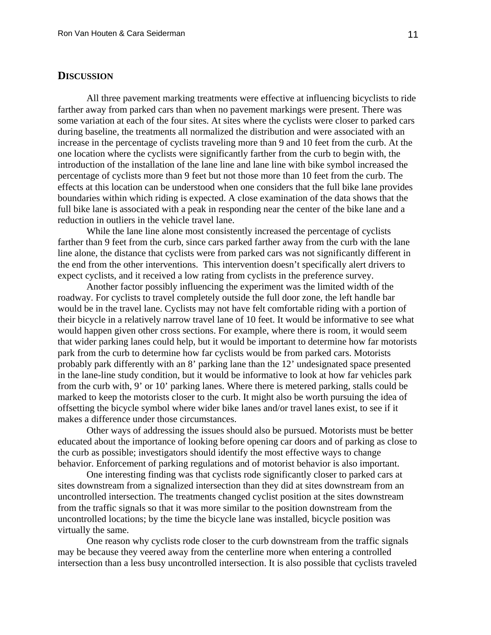# **DISCUSSION**

All three pavement marking treatments were effective at influencing bicyclists to ride farther away from parked cars than when no pavement markings were present. There was some variation at each of the four sites. At sites where the cyclists were closer to parked cars during baseline, the treatments all normalized the distribution and were associated with an increase in the percentage of cyclists traveling more than 9 and 10 feet from the curb. At the one location where the cyclists were significantly farther from the curb to begin with, the introduction of the installation of the lane line and lane line with bike symbol increased the percentage of cyclists more than 9 feet but not those more than 10 feet from the curb. The effects at this location can be understood when one considers that the full bike lane provides boundaries within which riding is expected. A close examination of the data shows that the full bike lane is associated with a peak in responding near the center of the bike lane and a reduction in outliers in the vehicle travel lane.

While the lane line alone most consistently increased the percentage of cyclists farther than 9 feet from the curb, since cars parked farther away from the curb with the lane line alone, the distance that cyclists were from parked cars was not significantly different in the end from the other interventions. This intervention doesn't specifically alert drivers to expect cyclists, and it received a low rating from cyclists in the preference survey.

Another factor possibly influencing the experiment was the limited width of the roadway. For cyclists to travel completely outside the full door zone, the left handle bar would be in the travel lane. Cyclists may not have felt comfortable riding with a portion of their bicycle in a relatively narrow travel lane of 10 feet. It would be informative to see what would happen given other cross sections. For example, where there is room, it would seem that wider parking lanes could help, but it would be important to determine how far motorists park from the curb to determine how far cyclists would be from parked cars. Motorists probably park differently with an 8' parking lane than the 12' undesignated space presented in the lane-line study condition, but it would be informative to look at how far vehicles park from the curb with, 9' or 10' parking lanes. Where there is metered parking, stalls could be marked to keep the motorists closer to the curb. It might also be worth pursuing the idea of offsetting the bicycle symbol where wider bike lanes and/or travel lanes exist, to see if it makes a difference under those circumstances.

Other ways of addressing the issues should also be pursued. Motorists must be better educated about the importance of looking before opening car doors and of parking as close to the curb as possible; investigators should identify the most effective ways to change behavior. Enforcement of parking regulations and of motorist behavior is also important.

One interesting finding was that cyclists rode significantly closer to parked cars at sites downstream from a signalized intersection than they did at sites downstream from an uncontrolled intersection. The treatments changed cyclist position at the sites downstream from the traffic signals so that it was more similar to the position downstream from the uncontrolled locations; by the time the bicycle lane was installed, bicycle position was virtually the same.

One reason why cyclists rode closer to the curb downstream from the traffic signals may be because they veered away from the centerline more when entering a controlled intersection than a less busy uncontrolled intersection. It is also possible that cyclists traveled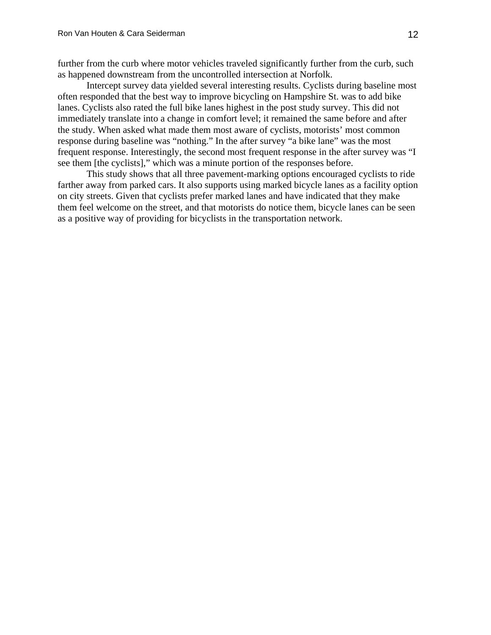further from the curb where motor vehicles traveled significantly further from the curb, such as happened downstream from the uncontrolled intersection at Norfolk.

Intercept survey data yielded several interesting results. Cyclists during baseline most often responded that the best way to improve bicycling on Hampshire St. was to add bike lanes. Cyclists also rated the full bike lanes highest in the post study survey. This did not immediately translate into a change in comfort level; it remained the same before and after the study. When asked what made them most aware of cyclists, motorists' most common response during baseline was "nothing." In the after survey "a bike lane" was the most frequent response. Interestingly, the second most frequent response in the after survey was "I see them [the cyclists]," which was a minute portion of the responses before.

This study shows that all three pavement-marking options encouraged cyclists to ride farther away from parked cars. It also supports using marked bicycle lanes as a facility option on city streets. Given that cyclists prefer marked lanes and have indicated that they make them feel welcome on the street, and that motorists do notice them, bicycle lanes can be seen as a positive way of providing for bicyclists in the transportation network.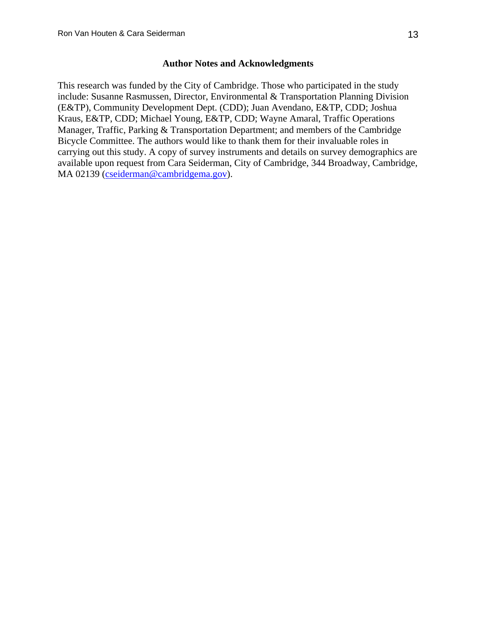# **Author Notes and Acknowledgments**

This research was funded by the City of Cambridge. Those who participated in the study include: Susanne Rasmussen, Director, Environmental & Transportation Planning Division (E&TP), Community Development Dept. (CDD); Juan Avendano, E&TP, CDD; Joshua Kraus, E&TP, CDD; Michael Young, E&TP, CDD; Wayne Amaral, Traffic Operations Manager, Traffic, Parking & Transportation Department; and members of the Cambridge Bicycle Committee. The authors would like to thank them for their invaluable roles in carrying out this study. A copy of survey instruments and details on survey demographics are available upon request from Cara Seiderman, City of Cambridge, 344 Broadway, Cambridge, MA 02139 (cseiderman@cambridgema.gov).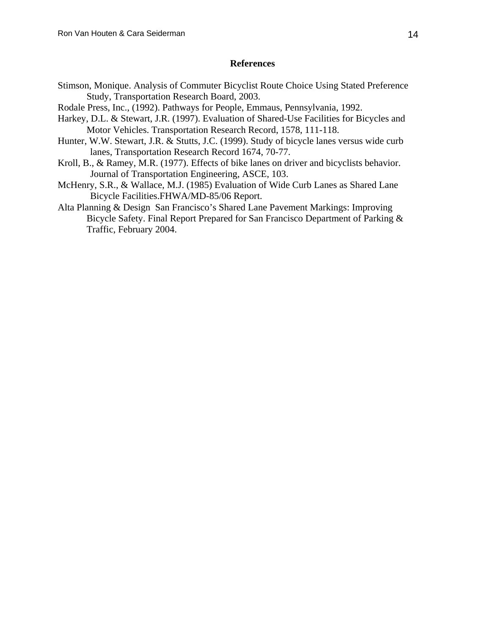# **References**

- Stimson, Monique. Analysis of Commuter Bicyclist Route Choice Using Stated Preference Study, Transportation Research Board, 2003.
- Rodale Press, Inc., (1992). Pathways for People, Emmaus, Pennsylvania, 1992.
- Harkey, D.L. & Stewart, J.R. (1997). Evaluation of Shared-Use Facilities for Bicycles and Motor Vehicles. Transportation Research Record, 1578, 111-118.
- Hunter, W.W. Stewart, J.R. & Stutts, J.C. (1999). Study of bicycle lanes versus wide curb lanes, Transportation Research Record 1674, 70-77.
- Kroll, B., & Ramey, M.R. (1977). Effects of bike lanes on driver and bicyclists behavior. Journal of Transportation Engineering, ASCE, 103.
- McHenry, S.R., & Wallace, M.J. (1985) Evaluation of Wide Curb Lanes as Shared Lane Bicycle Facilities.FHWA/MD-85/06 Report.
- Alta Planning & Design San Francisco's Shared Lane Pavement Markings: Improving Bicycle Safety. Final Report Prepared for San Francisco Department of Parking & Traffic, February 2004.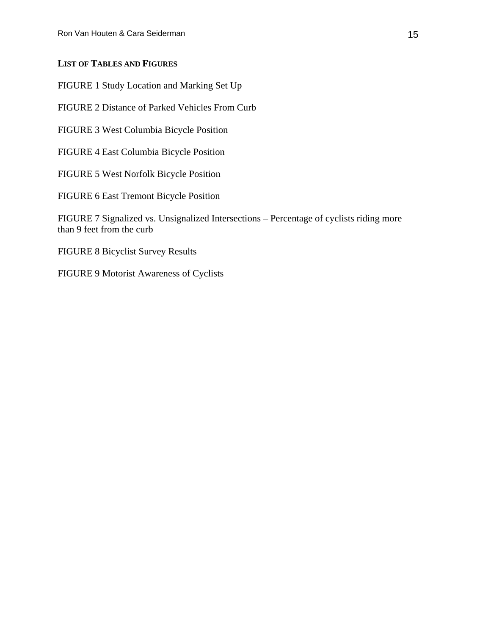# **LIST OF TABLES AND FIGURES**

FIGURE 1 Study Location and Marking Set Up

FIGURE 2 Distance of Parked Vehicles From Curb

FIGURE 3 West Columbia Bicycle Position

FIGURE 4 East Columbia Bicycle Position

FIGURE 5 West Norfolk Bicycle Position

FIGURE 6 East Tremont Bicycle Position

FIGURE 7 Signalized vs. Unsignalized Intersections – Percentage of cyclists riding more than 9 feet from the curb

FIGURE 8 Bicyclist Survey Results

FIGURE 9 Motorist Awareness of Cyclists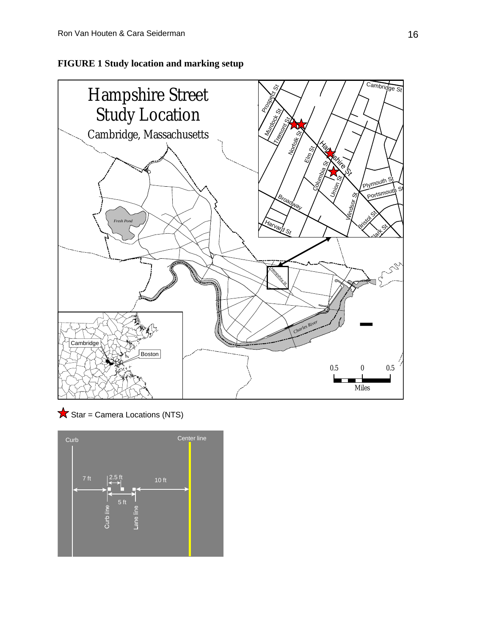





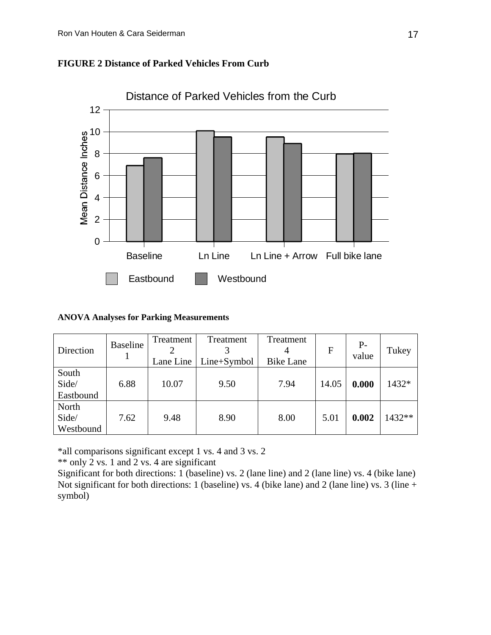



# **ANOVA Analyses for Parking Measurements**

| Direction                   | <b>Baseline</b> | Treatment<br>Lane Line | Treatment<br>Line+Symbol | Treatment<br><b>Bike Lane</b> | $\mathbf{F}$ | $P-$<br>value | Tukey    |
|-----------------------------|-----------------|------------------------|--------------------------|-------------------------------|--------------|---------------|----------|
| South<br>Side/<br>Eastbound | 6.88            | 10.07                  | 9.50                     | 7.94                          | 14.05        | 0.000         | 1432*    |
| North<br>Side/<br>Westbound | 7.62            | 9.48                   | 8.90                     | 8.00                          | 5.01         | 0.002         | $1432**$ |

\*all comparisons significant except 1 vs. 4 and 3 vs. 2

\*\* only 2 vs. 1 and 2 vs. 4 are significant

Significant for both directions: 1 (baseline) vs. 2 (lane line) and 2 (lane line) vs. 4 (bike lane) Not significant for both directions: 1 (baseline) vs. 4 (bike lane) and 2 (lane line) vs. 3 (line + symbol)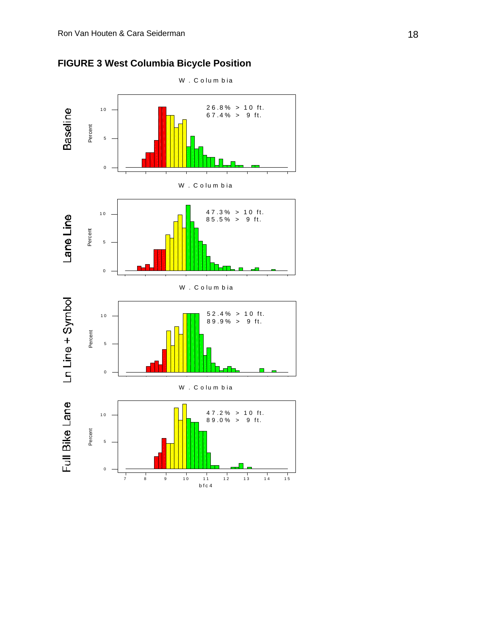

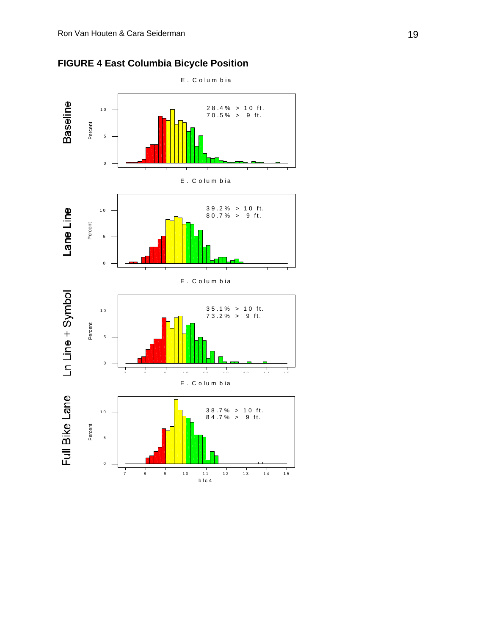

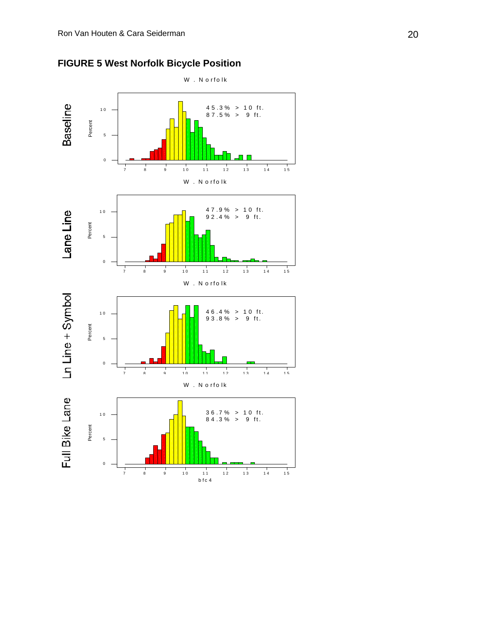

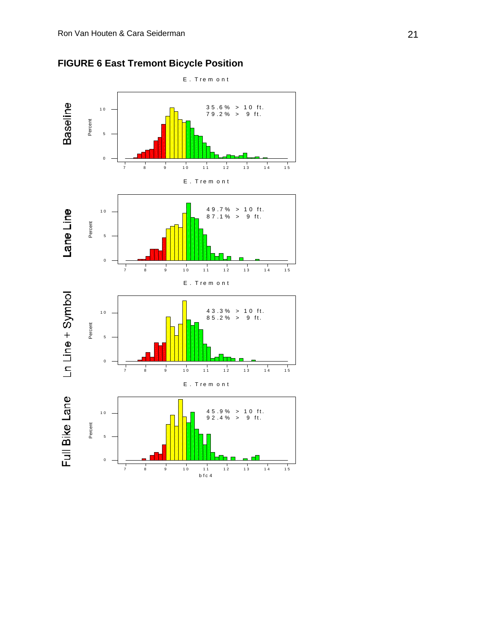$\mathbf 0$ 



7 8 9 10 11 12 13 14 15 bfc 4

**NET RE** 

**IN** 

**FIGURE 6 East Tremont Bicycle Position**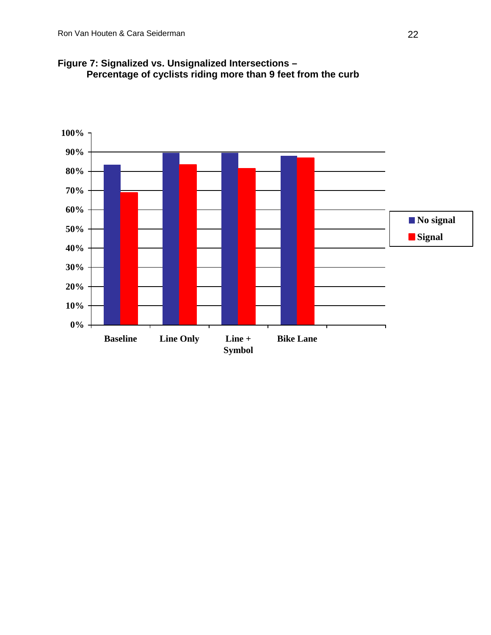

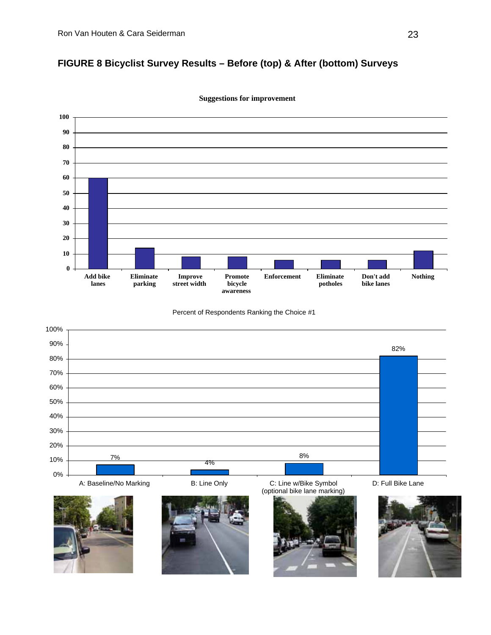# **FIGURE 8 Bicyclist Survey Results – Before (top) & After (bottom) Surveys**



**Suggestions for improvement**

Percent of Respondents Ranking the Choice #1







(optional bike lane marking)



D: Full Bike Lane